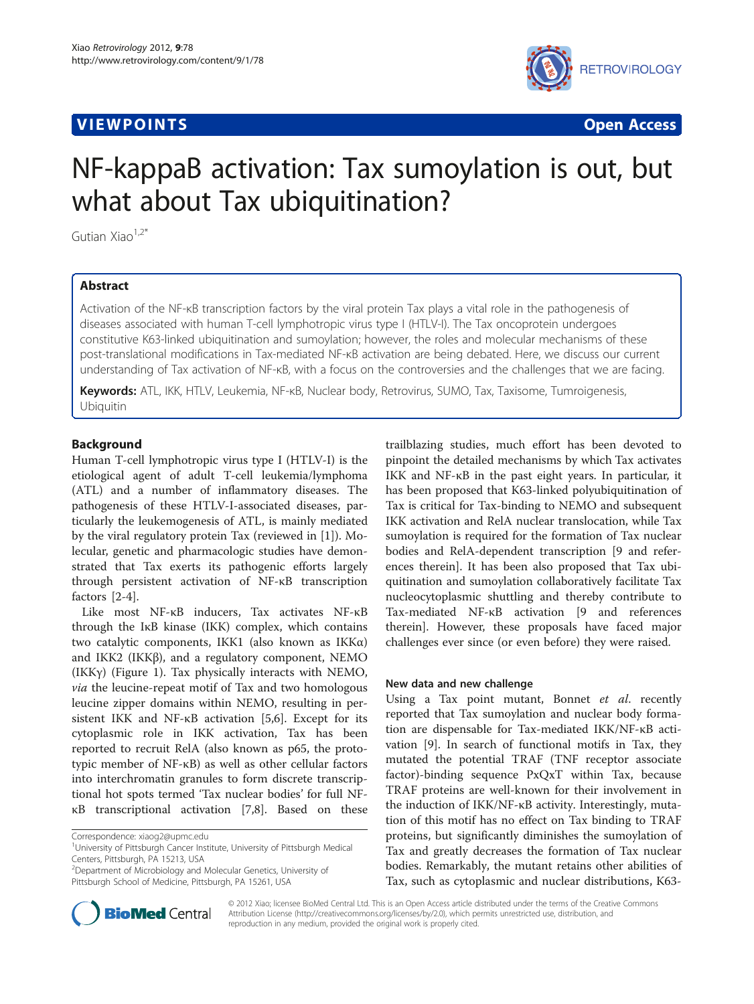# **VIEW POINTS CONSIDERING A CONSIDERING A CONSIDERING A CONSIDERING A CONSIDERING A CONSIDERING A CONSIDERING A CONSIDERING A CONSIDERING A CONSIDERING A CONSIDERING A CONSIDERING A CONSIDERING A CONSIDERING A CONSIDERING**



# NF-kappaB activation: Tax sumoylation is out, but what about Tax ubiquitination?

Gutian Xiao $1,2^*$ 

# Abstract

Activation of the NF-κB transcription factors by the viral protein Tax plays a vital role in the pathogenesis of diseases associated with human T-cell lymphotropic virus type I (HTLV-I). The Tax oncoprotein undergoes constitutive K63-linked ubiquitination and sumoylation; however, the roles and molecular mechanisms of these post-translational modifications in Tax-mediated NF-κB activation are being debated. Here, we discuss our current understanding of Tax activation of NF-κB, with a focus on the controversies and the challenges that we are facing.

Keywords: ATL, IKK, HTLV, Leukemia, NF-KB, Nuclear body, Retrovirus, SUMO, Tax, Taxisome, Tumroigenesis, Ubiquitin

# **Background**

Human T-cell lymphotropic virus type I (HTLV-I) is the etiological agent of adult T-cell leukemia/lymphoma (ATL) and a number of inflammatory diseases. The pathogenesis of these HTLV-I-associated diseases, particularly the leukemogenesis of ATL, is mainly mediated by the viral regulatory protein Tax (reviewed in [\[1](#page-3-0)]). Molecular, genetic and pharmacologic studies have demonstrated that Tax exerts its pathogenic efforts largely through persistent activation of NF-κB transcription factors [\[2](#page-3-0)-[4\]](#page-3-0).

Like most NF-κB inducers, Tax activates NF-κB through the IκB kinase (IKK) complex, which contains two catalytic components, IKK1 (also known as IKKα) and IKK2 (IKKβ), and a regulatory component, NEMO (IKKγ) (Figure [1\)](#page-1-0). Tax physically interacts with NEMO, via the leucine-repeat motif of Tax and two homologous leucine zipper domains within NEMO, resulting in persistent IKK and NF-κB activation [\[5](#page-3-0),[6](#page-3-0)]. Except for its cytoplasmic role in IKK activation, Tax has been reported to recruit RelA (also known as p65, the prototypic member of NF-κB) as well as other cellular factors into interchromatin granules to form discrete transcriptional hot spots termed 'Tax nuclear bodies' for full NFκB transcriptional activation [[7,8\]](#page-3-0). Based on these



## New data and new challenge

Using a Tax point mutant, Bonnet et al. recently reported that Tax sumoylation and nuclear body formation are dispensable for Tax-mediated IKK/NF-κB activation [[9\]](#page-3-0). In search of functional motifs in Tax, they mutated the potential TRAF (TNF receptor associate factor)-binding sequence PxQxT within Tax, because TRAF proteins are well-known for their involvement in the induction of IKK/NF-κB activity. Interestingly, mutation of this motif has no effect on Tax binding to TRAF proteins, but significantly diminishes the sumoylation of Tax and greatly decreases the formation of Tax nuclear bodies. Remarkably, the mutant retains other abilities of Tax, such as cytoplasmic and nuclear distributions, K63-



© 2012 Xiao; licensee BioMed Central Ltd. This is an Open Access article distributed under the terms of the Creative Commons Attribution License (<http://creativecommons.org/licenses/by/2.0>), which permits unrestricted use, distribution, and reproduction in any medium, provided the original work is properly cited.

Correspondence: [xiaog2@upmc.edu](mailto:xiaog2@upmc.edu) <sup>1</sup>

<sup>&</sup>lt;sup>1</sup>University of Pittsburgh Cancer Institute, University of Pittsburgh Medical Centers, Pittsburgh, PA 15213, USA

<sup>2</sup> Department of Microbiology and Molecular Genetics, University of Pittsburgh School of Medicine, Pittsburgh, PA 15261, USA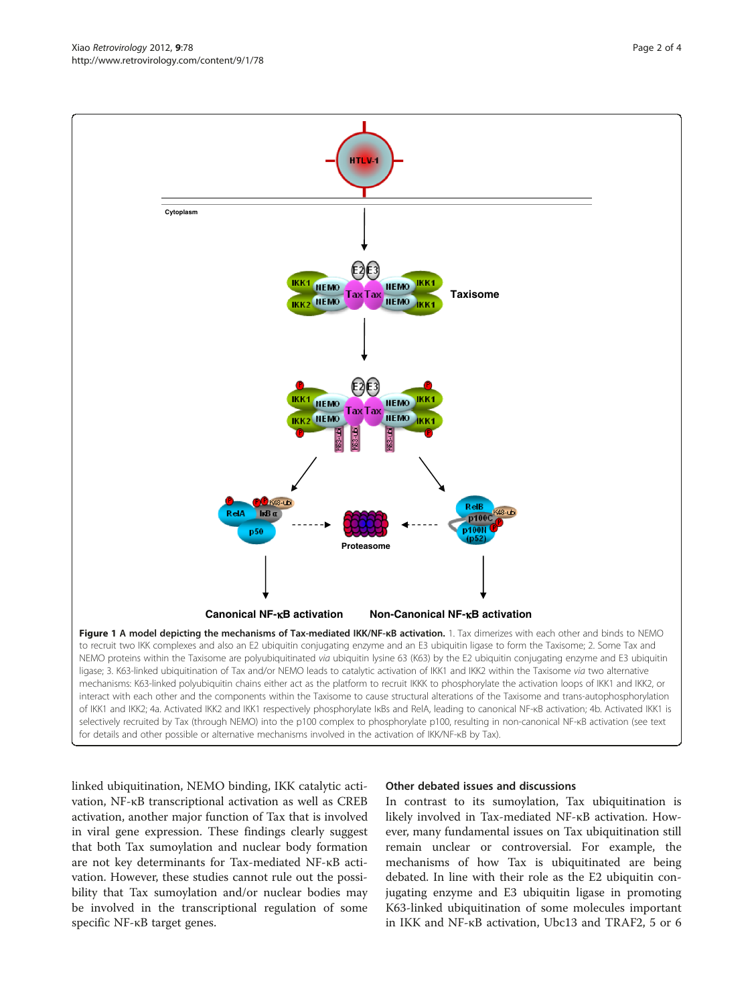<span id="page-1-0"></span>

linked ubiquitination, NEMO binding, IKK catalytic activation, NF-κB transcriptional activation as well as CREB activation, another major function of Tax that is involved in viral gene expression. These findings clearly suggest that both Tax sumoylation and nuclear body formation are not key determinants for Tax-mediated NF-κB activation. However, these studies cannot rule out the possibility that Tax sumoylation and/or nuclear bodies may be involved in the transcriptional regulation of some specific NF-κB target genes.

## Other debated issues and discussions

In contrast to its sumoylation, Tax ubiquitination is likely involved in Tax-mediated NF-κB activation. However, many fundamental issues on Tax ubiquitination still remain unclear or controversial. For example, the mechanisms of how Tax is ubiquitinated are being debated. In line with their role as the E2 ubiquitin conjugating enzyme and E3 ubiquitin ligase in promoting K63-linked ubiquitination of some molecules important in IKK and NF-κB activation, Ubc13 and TRAF2, 5 or 6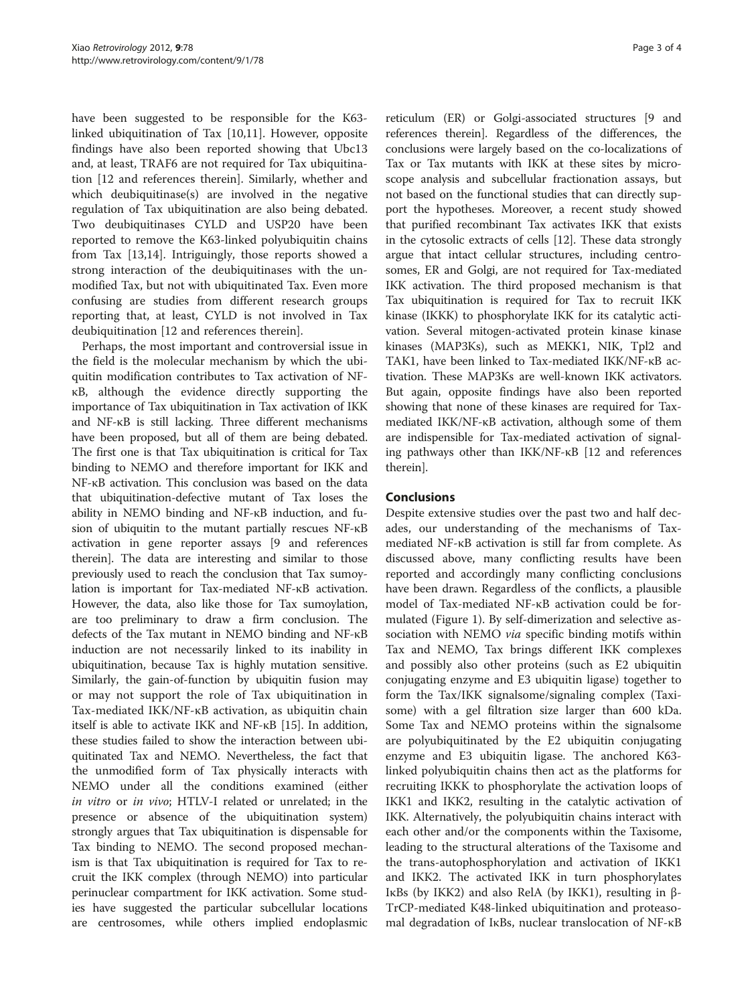have been suggested to be responsible for the K63 linked ubiquitination of Tax [\[10,11](#page-3-0)]. However, opposite findings have also been reported showing that Ubc13 and, at least, TRAF6 are not required for Tax ubiquitination [\[12](#page-3-0) and references therein]. Similarly, whether and which deubiquitinase(s) are involved in the negative regulation of Tax ubiquitination are also being debated. Two deubiquitinases CYLD and USP20 have been reported to remove the K63-linked polyubiquitin chains from Tax [\[13,14\]](#page-3-0). Intriguingly, those reports showed a strong interaction of the deubiquitinases with the unmodified Tax, but not with ubiquitinated Tax. Even more confusing are studies from different research groups reporting that, at least, CYLD is not involved in Tax deubiquitination [\[12](#page-3-0) and references therein].

Perhaps, the most important and controversial issue in the field is the molecular mechanism by which the ubiquitin modification contributes to Tax activation of NFκB, although the evidence directly supporting the importance of Tax ubiquitination in Tax activation of IKK and NF-κB is still lacking. Three different mechanisms have been proposed, but all of them are being debated. The first one is that Tax ubiquitination is critical for Tax binding to NEMO and therefore important for IKK and NF-κB activation. This conclusion was based on the data that ubiquitination-defective mutant of Tax loses the ability in NEMO binding and NF-κB induction, and fusion of ubiquitin to the mutant partially rescues NF-κB activation in gene reporter assays [\[9](#page-3-0) and references therein]. The data are interesting and similar to those previously used to reach the conclusion that Tax sumoylation is important for Tax-mediated NF-κB activation. However, the data, also like those for Tax sumoylation, are too preliminary to draw a firm conclusion. The defects of the Tax mutant in NEMO binding and NF-κB induction are not necessarily linked to its inability in ubiquitination, because Tax is highly mutation sensitive. Similarly, the gain-of-function by ubiquitin fusion may or may not support the role of Tax ubiquitination in Tax-mediated IKK/NF-κB activation, as ubiquitin chain itself is able to activate IKK and NF-κB [\[15\]](#page-3-0). In addition, these studies failed to show the interaction between ubiquitinated Tax and NEMO. Nevertheless, the fact that the unmodified form of Tax physically interacts with NEMO under all the conditions examined (either in vitro or in vivo; HTLV-I related or unrelated; in the presence or absence of the ubiquitination system) strongly argues that Tax ubiquitination is dispensable for Tax binding to NEMO. The second proposed mechanism is that Tax ubiquitination is required for Tax to recruit the IKK complex (through NEMO) into particular perinuclear compartment for IKK activation. Some studies have suggested the particular subcellular locations are centrosomes, while others implied endoplasmic reticulum (ER) or Golgi-associated structures [\[9](#page-3-0) and references therein]. Regardless of the differences, the conclusions were largely based on the co-localizations of Tax or Tax mutants with IKK at these sites by microscope analysis and subcellular fractionation assays, but not based on the functional studies that can directly support the hypotheses. Moreover, a recent study showed that purified recombinant Tax activates IKK that exists in the cytosolic extracts of cells [\[12\]](#page-3-0). These data strongly argue that intact cellular structures, including centrosomes, ER and Golgi, are not required for Tax-mediated IKK activation. The third proposed mechanism is that Tax ubiquitination is required for Tax to recruit IKK kinase (IKKK) to phosphorylate IKK for its catalytic activation. Several mitogen-activated protein kinase kinase kinases (MAP3Ks), such as MEKK1, NIK, Tpl2 and TAK1, have been linked to Tax-mediated IKK/NF-κB activation. These MAP3Ks are well-known IKK activators. But again, opposite findings have also been reported showing that none of these kinases are required for Taxmediated IKK/NF-κB activation, although some of them are indispensible for Tax-mediated activation of signaling pathways other than IKK/NF-κB [[12](#page-3-0) and references therein].

# Conclusions

Despite extensive studies over the past two and half decades, our understanding of the mechanisms of Taxmediated NF-κB activation is still far from complete. As discussed above, many conflicting results have been reported and accordingly many conflicting conclusions have been drawn. Regardless of the conflicts, a plausible model of Tax-mediated NF-κB activation could be formulated (Figure [1\)](#page-1-0). By self-dimerization and selective association with NEMO via specific binding motifs within Tax and NEMO, Tax brings different IKK complexes and possibly also other proteins (such as E2 ubiquitin conjugating enzyme and E3 ubiquitin ligase) together to form the Tax/IKK signalsome/signaling complex (Taxisome) with a gel filtration size larger than 600 kDa. Some Tax and NEMO proteins within the signalsome are polyubiquitinated by the E2 ubiquitin conjugating enzyme and E3 ubiquitin ligase. The anchored K63 linked polyubiquitin chains then act as the platforms for recruiting IKKK to phosphorylate the activation loops of IKK1 and IKK2, resulting in the catalytic activation of IKK. Alternatively, the polyubiquitin chains interact with each other and/or the components within the Taxisome, leading to the structural alterations of the Taxisome and the trans-autophosphorylation and activation of IKK1 and IKK2. The activated IKK in turn phosphorylates IκBs (by IKK2) and also RelA (by IKK1), resulting in β-TrCP-mediated K48-linked ubiquitination and proteasomal degradation of IκBs, nuclear translocation of NF-κB